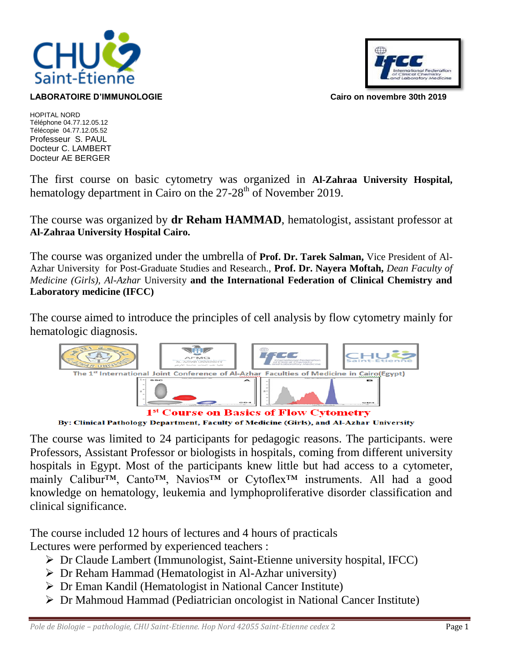

## **LABORATOIRE D'IMMUNOLOGIE Cairo on novembre 30th 2019**



HOPITAL NORD Téléphone 04.77.12.05.12 Télécopie 04.77.12.05.52 Professeur S. PAUL Docteur C. LAMBERT Docteur AE BERGER

The first course on basic cytometry was organized in **Al-Zahraa University Hospital,**  hematology department in Cairo on the  $27-28<sup>th</sup>$  of November 2019.

The course was organized by **dr Reham HAMMAD**, hematologist, assistant professor at **Al-Zahraa University Hospital Cairo.**

The course was organized under the umbrella of **Prof. Dr. Tarek Salman,** Vice President of Al-Azhar University for Post-Graduate Studies and Research., **Prof. Dr. Nayera Moftah,** *Dean Faculty of Medicine (Girls), Al-Azhar* University **and the International Federation of Clinical Chemistry and Laboratory medicine (IFCC)**

The course aimed to introduce the principles of cell analysis by flow cytometry mainly for hematologic diagnosis.



By: Clinical Pathology Department, Faculty of Medicine (Girls), and Al-Azhar University

The course was limited to 24 participants for pedagogic reasons. The participants. were Professors, Assistant Professor or biologists in hospitals, coming from different university hospitals in Egypt. Most of the participants knew little but had access to a cytometer, mainly Calibur™, Canto<sup>™</sup>, Navios<sup>™</sup> or Cytoflex<sup>™</sup> instruments. All had a good knowledge on hematology, leukemia and lymphoproliferative disorder classification and clinical significance.

The course included 12 hours of lectures and 4 hours of practicals Lectures were performed by experienced teachers :

- Dr Claude Lambert (Immunologist, Saint-Etienne university hospital, IFCC)
- Dr Reham Hammad (Hematologist in Al-Azhar university)
- Dr Eman Kandil (Hematologist in National Cancer Institute)
- Dr Mahmoud Hammad (Pediatrician oncologist in National Cancer Institute)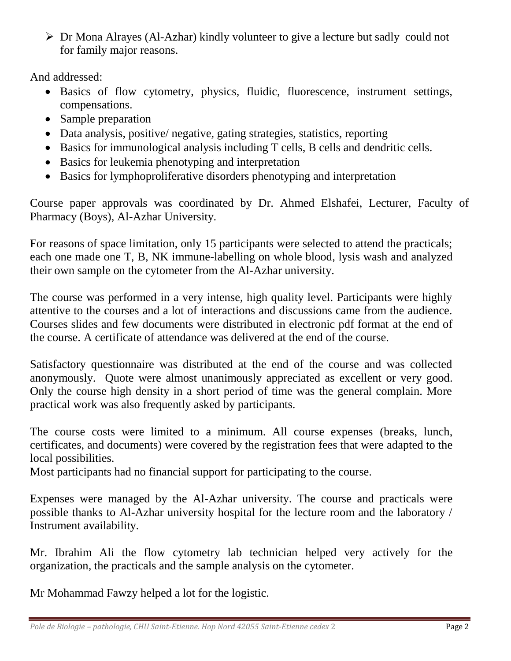Dr Mona Alrayes (Al-Azhar) kindly volunteer to give a lecture but sadly could not for family major reasons.

And addressed:

- Basics of flow cytometry, physics, fluidic, fluorescence, instrument settings, compensations.
- Sample preparation
- Data analysis, positive/ negative, gating strategies, statistics, reporting
- Basics for immunological analysis including T cells, B cells and dendritic cells.
- Basics for leukemia phenotyping and interpretation
- Basics for lymphoproliferative disorders phenotyping and interpretation

Course paper approvals was coordinated by Dr. Ahmed Elshafei, Lecturer, Faculty of Pharmacy (Boys), Al-Azhar University.

For reasons of space limitation, only 15 participants were selected to attend the practicals; each one made one T, B, NK immune-labelling on whole blood, lysis wash and analyzed their own sample on the cytometer from the Al-Azhar university.

The course was performed in a very intense, high quality level. Participants were highly attentive to the courses and a lot of interactions and discussions came from the audience. Courses slides and few documents were distributed in electronic pdf format at the end of the course. A certificate of attendance was delivered at the end of the course.

Satisfactory questionnaire was distributed at the end of the course and was collected anonymously. Quote were almost unanimously appreciated as excellent or very good. Only the course high density in a short period of time was the general complain. More practical work was also frequently asked by participants.

The course costs were limited to a minimum. All course expenses (breaks, lunch, certificates, and documents) were covered by the registration fees that were adapted to the local possibilities.

Most participants had no financial support for participating to the course.

Expenses were managed by the Al-Azhar university. The course and practicals were possible thanks to Al-Azhar university hospital for the lecture room and the laboratory / Instrument availability.

Mr. Ibrahim Ali the flow cytometry lab technician helped very actively for the organization, the practicals and the sample analysis on the cytometer.

Mr Mohammad Fawzy helped a lot for the logistic.